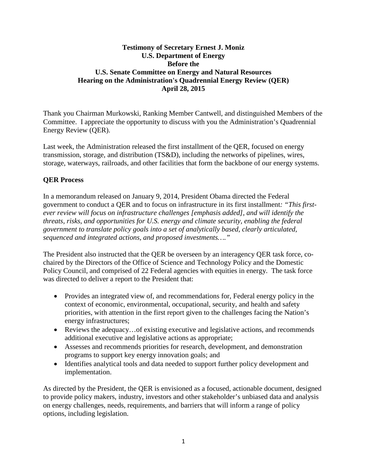# **Testimony of Secretary Ernest J. Moniz U.S. Department of Energy Before the U.S. Senate Committee on Energy and Natural Resources Hearing on the Administration's Quadrennial Energy Review (QER) April 28, 2015**

Thank you Chairman Murkowski, Ranking Member Cantwell, and distinguished Members of the Committee. I appreciate the opportunity to discuss with you the Administration's Quadrennial Energy Review (QER).

Last week, the Administration released the first installment of the QER, focused on energy transmission, storage, and distribution (TS&D), including the networks of pipelines, wires, storage, waterways, railroads, and other facilities that form the backbone of our energy systems.

# **QER Process**

In a memorandum released on January 9, 2014, President Obama directed the Federal government to conduct a QER and to focus on infrastructure in its first installment*: "This firstever review will focus on infrastructure challenges [emphasis added], and will identify the threats, risks, and opportunities for U.S. energy and climate security, enabling the federal government to translate policy goals into a set of analytically based, clearly articulated, sequenced and integrated actions, and proposed investments…."*

The President also instructed that the QER be overseen by an interagency QER task force, cochaired by the Directors of the Office of Science and Technology Policy and the Domestic Policy Council, and comprised of 22 Federal agencies with equities in energy. The task force was directed to deliver a report to the President that:

- Provides an integrated view of, and recommendations for, Federal energy policy in the context of economic, environmental, occupational, security, and health and safety priorities, with attention in the first report given to the challenges facing the Nation's energy infrastructures;
- Reviews the adequacy... of existing executive and legislative actions, and recommends additional executive and legislative actions as appropriate;
- Assesses and recommends priorities for research, development, and demonstration programs to support key energy innovation goals; and
- Identifies analytical tools and data needed to support further policy development and implementation.

As directed by the President, the QER is envisioned as a focused, actionable document, designed to provide policy makers, industry, investors and other stakeholder's unbiased data and analysis on energy challenges, needs, requirements, and barriers that will inform a range of policy options, including legislation.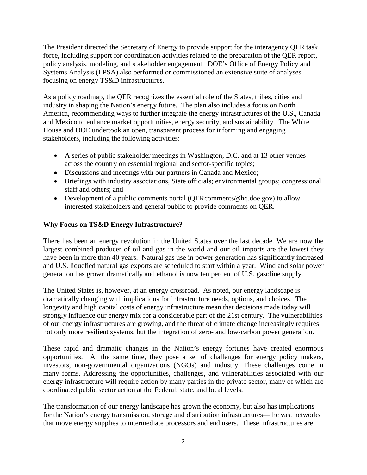The President directed the Secretary of Energy to provide support for the interagency QER task force, including support for coordination activities related to the preparation of the QER report, policy analysis, modeling, and stakeholder engagement. DOE's Office of Energy Policy and Systems Analysis (EPSA) also performed or commissioned an extensive suite of analyses focusing on energy TS&D infrastructures.

As a policy roadmap, the QER recognizes the essential role of the States, tribes, cities and industry in shaping the Nation's energy future. The plan also includes a focus on North America, recommending ways to further integrate the energy infrastructures of the U.S., Canada and Mexico to enhance market opportunities, energy security, and sustainability. The White House and DOE undertook an open, transparent process for informing and engaging stakeholders, including the following activities:

- A series of public stakeholder meetings in Washington, D.C. and at 13 other venues across the country on essential regional and sector-specific topics;
- Discussions and meetings with our partners in Canada and Mexico;
- Briefings with industry associations, State officials; environmental groups; congressional staff and others; and
- Development of a public comments portal (QERcomments@hq.doe.gov) to allow interested stakeholders and general public to provide comments on QER.

# **Why Focus on TS&D Energy Infrastructure?**

There has been an energy revolution in the United States over the last decade. We are now the largest combined producer of oil and gas in the world and our oil imports are the lowest they have been in more than 40 years. Natural gas use in power generation has significantly increased and U.S. liquefied natural gas exports are scheduled to start within a year. Wind and solar power generation has grown dramatically and ethanol is now ten percent of U.S. gasoline supply.

The United States is, however, at an energy crossroad. As noted, our energy landscape is dramatically changing with implications for infrastructure needs, options, and choices. The longevity and high capital costs of energy infrastructure mean that decisions made today will strongly influence our energy mix for a considerable part of the 21st century. The vulnerabilities of our energy infrastructures are growing, and the threat of climate change increasingly requires not only more resilient systems, but the integration of zero- and low-carbon power generation.

These rapid and dramatic changes in the Nation's energy fortunes have created enormous opportunities. At the same time, they pose a set of challenges for energy policy makers, investors, non-governmental organizations (NGOs) and industry. These challenges come in many forms. Addressing the opportunities, challenges, and vulnerabilities associated with our energy infrastructure will require action by many parties in the private sector, many of which are coordinated public sector action at the Federal, state, and local levels.

The transformation of our energy landscape has grown the economy, but also has implications for the Nation's energy transmission, storage and distribution infrastructures—the vast networks that move energy supplies to intermediate processors and end users. These infrastructures are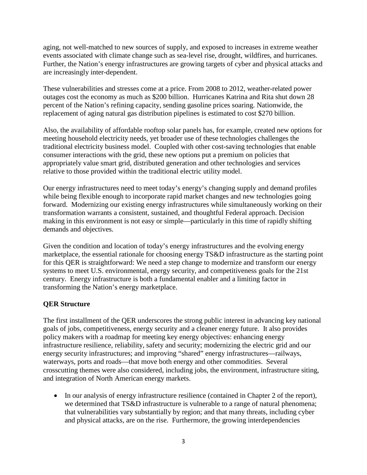aging, not well-matched to new sources of supply, and exposed to increases in extreme weather events associated with climate change such as sea-level rise, drought, wildfires, and hurricanes. Further, the Nation's energy infrastructures are growing targets of cyber and physical attacks and are increasingly inter-dependent.

These vulnerabilities and stresses come at a price. From 2008 to 2012, weather-related power outages cost the economy as much as \$200 billion. Hurricanes Katrina and Rita shut down 28 percent of the Nation's refining capacity, sending gasoline prices soaring. Nationwide, the replacement of aging natural gas distribution pipelines is estimated to cost \$270 billion.

Also, the availability of affordable rooftop solar panels has, for example, created new options for meeting household electricity needs, yet broader use of these technologies challenges the traditional electricity business model. Coupled with other cost-saving technologies that enable consumer interactions with the grid, these new options put a premium on policies that appropriately value smart grid, distributed generation and other technologies and services relative to those provided within the traditional electric utility model.

Our energy infrastructures need to meet today's energy's changing supply and demand profiles while being flexible enough to incorporate rapid market changes and new technologies going forward. Modernizing our existing energy infrastructures while simultaneously working on their transformation warrants a consistent, sustained, and thoughtful Federal approach. Decision making in this environment is not easy or simple—particularly in this time of rapidly shifting demands and objectives.

Given the condition and location of today's energy infrastructures and the evolving energy marketplace, the essential rationale for choosing energy TS&D infrastructure as the starting point for this QER is straightforward: We need a step change to modernize and transform our energy systems to meet U.S. environmental, energy security, and competitiveness goals for the 21st century. Energy infrastructure is both a fundamental enabler and a limiting factor in transforming the Nation's energy marketplace.

# **QER Structure**

The first installment of the QER underscores the strong public interest in advancing key national goals of jobs, competitiveness, energy security and a cleaner energy future. It also provides policy makers with a roadmap for meeting key energy objectives: enhancing energy infrastructure resilience, reliability, safety and security; modernizing the electric grid and our energy security infrastructures; and improving "shared" energy infrastructures—railways, waterways, ports and roads—that move both energy and other commodities. Several crosscutting themes were also considered, including jobs, the environment, infrastructure siting, and integration of North American energy markets.

• In our analysis of energy infrastructure resilience (contained in Chapter 2 of the report), we determined that TS&D infrastructure is vulnerable to a range of natural phenomena; that vulnerabilities vary substantially by region; and that many threats, including cyber and physical attacks, are on the rise. Furthermore, the growing interdependencies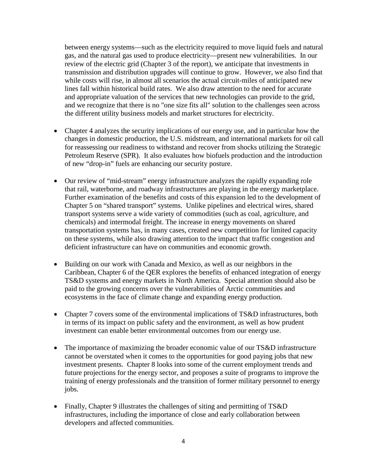between energy systems—such as the electricity required to move liquid fuels and natural gas, and the natural gas used to produce electricity—present new vulnerabilities. In our review of the electric grid (Chapter 3 of the report), we anticipate that investments in transmission and distribution upgrades will continue to grow. However, we also find that while costs will rise, in almost all scenarios the actual circuit-miles of anticipated new lines fall within historical build rates. We also draw attention to the need for accurate and appropriate valuation of the services that new technologies can provide to the grid, and we recognize that there is no "one size fits all" solution to the challenges seen across the different utility business models and market structures for electricity.

- Chapter 4 analyzes the security implications of our energy use, and in particular how the changes in domestic production, the U.S. midstream, and international markets for oil call for reassessing our readiness to withstand and recover from shocks utilizing the Strategic Petroleum Reserve (SPR). It also evaluates how biofuels production and the introduction of new "drop-in" fuels are enhancing our security posture.
- Our review of "mid-stream" energy infrastructure analyzes the rapidly expanding role that rail, waterborne, and roadway infrastructures are playing in the energy marketplace. Further examination of the benefits and costs of this expansion led to the development of Chapter 5 on "shared transport" systems. Unlike pipelines and electrical wires, shared transport systems serve a wide variety of commodities (such as coal, agriculture, and chemicals) and intermodal freight. The increase in energy movements on shared transportation systems has, in many cases, created new competition for limited capacity on these systems, while also drawing attention to the impact that traffic congestion and deficient infrastructure can have on communities and economic growth.
- Building on our work with Canada and Mexico, as well as our neighbors in the Caribbean, Chapter 6 of the QER explores the benefits of enhanced integration of energy TS&D systems and energy markets in North America. Special attention should also be paid to the growing concerns over the vulnerabilities of Arctic communities and ecosystems in the face of climate change and expanding energy production.
- Chapter 7 covers some of the environmental implications of TS&D infrastructures, both in terms of its impact on public safety and the environment, as well as how prudent investment can enable better environmental outcomes from our energy use.
- The importance of maximizing the broader economic value of our TS&D infrastructure cannot be overstated when it comes to the opportunities for good paying jobs that new investment presents. Chapter 8 looks into some of the current employment trends and future projections for the energy sector, and proposes a suite of programs to improve the training of energy professionals and the transition of former military personnel to energy jobs.
- Finally, Chapter 9 illustrates the challenges of siting and permitting of TS&D infrastructures, including the importance of close and early collaboration between developers and affected communities.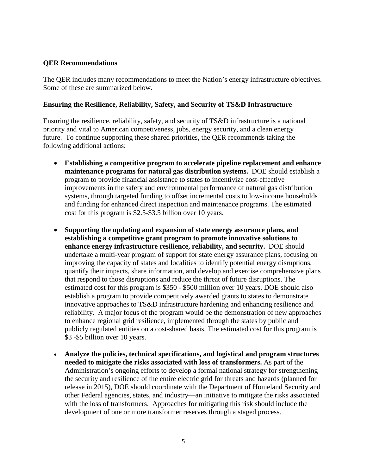#### **QER Recommendations**

The QER includes many recommendations to meet the Nation's energy infrastructure objectives. Some of these are summarized below.

#### **Ensuring the Resilience, Reliability, Safety, and Security of TS&D Infrastructure**

Ensuring the resilience, reliability, safety, and security of TS&D infrastructure is a national priority and vital to American competiveness, jobs, energy security, and a clean energy future. To continue supporting these shared priorities, the QER recommends taking the following additional actions:

- **Establishing a competitive program to accelerate pipeline replacement and enhance maintenance programs for natural gas distribution systems.** DOE should establish a program to provide financial assistance to states to incentivize cost-effective improvements in the safety and environmental performance of natural gas distribution systems, through targeted funding to offset incremental costs to low-income households and funding for enhanced direct inspection and maintenance programs. The estimated cost for this program is \$2.5-\$3.5 billion over 10 years.
- **Supporting the updating and expansion of state energy assurance plans, and establishing a competitive grant program to promote innovative solutions to enhance energy infrastructure resilience, reliability, and security.** DOE should undertake a multi-year program of support for state energy assurance plans, focusing on improving the capacity of states and localities to identify potential energy disruptions, quantify their impacts, share information, and develop and exercise comprehensive plans that respond to those disruptions and reduce the threat of future disruptions. The estimated cost for this program is \$350 - \$500 million over 10 years. DOE should also establish a program to provide competitively awarded grants to states to demonstrate innovative approaches to TS&D infrastructure hardening and enhancing resilience and reliability. A major focus of the program would be the demonstration of new approaches to enhance regional grid resilience, implemented through the states by public and publicly regulated entities on a cost-shared basis. The estimated cost for this program is \$3 -\$5 billion over 10 years.
- **Analyze the policies, technical specifications, and logistical and program structures needed to mitigate the risks associated with loss of transformers.** As part of the Administration's ongoing efforts to develop a formal national strategy for strengthening the security and resilience of the entire electric grid for threats and hazards (planned for release in 2015), DOE should coordinate with the Department of Homeland Security and other Federal agencies, states, and industry—an initiative to mitigate the risks associated with the loss of transformers. Approaches for mitigating this risk should include the development of one or more transformer reserves through a staged process.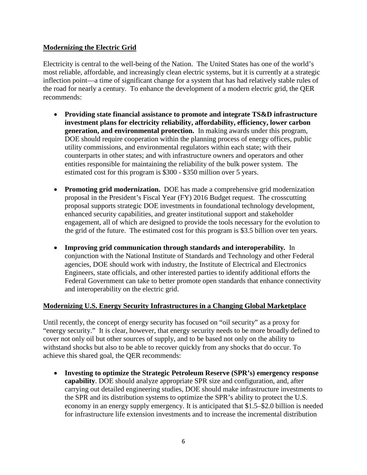# **Modernizing the Electric Grid**

Electricity is central to the well-being of the Nation. The United States has one of the world's most reliable, affordable, and increasingly clean electric systems, but it is currently at a strategic inflection point—a time of significant change for a system that has had relatively stable rules of the road for nearly a century. To enhance the development of a modern electric grid, the QER recommends:

- **Providing state financial assistance to promote and integrate TS&D infrastructure investment plans for electricity reliability, affordability, efficiency, lower carbon generation, and environmental protection.** In making awards under this program, DOE should require cooperation within the planning process of energy offices, public utility commissions, and environmental regulators within each state; with their counterparts in other states; and with infrastructure owners and operators and other entities responsible for maintaining the reliability of the bulk power system. The estimated cost for this program is \$300 - \$350 million over 5 years.
- **Promoting grid modernization.** DOE has made a comprehensive grid modernization proposal in the President's Fiscal Year (FY) 2016 Budget request. The crosscutting proposal supports strategic DOE investments in foundational technology development, enhanced security capabilities, and greater institutional support and stakeholder engagement, all of which are designed to provide the tools necessary for the evolution to the grid of the future. The estimated cost for this program is \$3.5 billion over ten years.
- **Improving grid communication through standards and interoperability***.* In conjunction with the National Institute of Standards and Technology and other Federal agencies, DOE should work with industry, the Institute of Electrical and Electronics Engineers, state officials, and other interested parties to identify additional efforts the Federal Government can take to better promote open standards that enhance connectivity and interoperability on the electric grid.

# **Modernizing U.S. Energy Security Infrastructures in a Changing Global Marketplace**

Until recently, the concept of energy security has focused on "oil security" as a proxy for "energy security." It is clear, however, that energy security needs to be more broadly defined to cover not only oil but other sources of supply, and to be based not only on the ability to withstand shocks but also to be able to recover quickly from any shocks that do occur. To achieve this shared goal, the QER recommends:

• **Investing to optimize the Strategic Petroleum Reserve (SPR's) emergency response capability**. DOE should analyze appropriate SPR size and configuration, and, after carrying out detailed engineering studies, DOE should make infrastructure investments to the SPR and its distribution systems to optimize the SPR's ability to protect the U.S. economy in an energy supply emergency. It is anticipated that \$1.5–\$2.0 billion is needed for infrastructure life extension investments and to increase the incremental distribution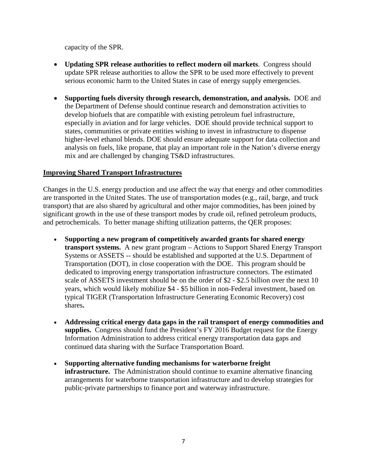capacity of the SPR.

- **Updating SPR release authorities to reflect modern oil markets**. Congress should update SPR release authorities to allow the SPR to be used more effectively to prevent serious economic harm to the United States in case of energy supply emergencies.
- **Supporting fuels diversity through research, demonstration, and analysis.** DOE and the Department of Defense should continue research and demonstration activities to develop biofuels that are compatible with existing petroleum fuel infrastructure, especially in aviation and for large vehicles. DOE should provide technical support to states, communities or private entities wishing to invest in infrastructure to dispense higher-level ethanol blends. DOE should ensure adequate support for data collection and analysis on fuels, like propane, that play an important role in the Nation's diverse energy mix and are challenged by changing TS&D infrastructures.

#### **Improving Shared Transport Infrastructures**

Changes in the U.S. energy production and use affect the way that energy and other commodities are transported in the United States. The use of transportation modes (e.g., rail, barge, and truck transport) that are also shared by agricultural and other major commodities, has been joined by significant growth in the use of these transport modes by crude oil, refined petroleum products, and petrochemicals. To better manage shifting utilization patterns, the QER proposes:

- **Supporting a new program of competitively awarded grants for shared energy transport systems.** A new grant program – Actions to Support Shared Energy Transport Systems or ASSETS -- should be established and supported at the U.S. Department of Transportation (DOT), in close cooperation with the DOE. This program should be dedicated to improving energy transportation infrastructure connectors. The estimated scale of ASSETS investment should be on the order of \$2 - \$2.5 billion over the next 10 years, which would likely mobilize \$4 - \$5 billion in non-Federal investment, based on typical TIGER (Transportation Infrastructure Generating Economic Recovery) cost shares**.**
- **Addressing critical energy data gaps in the rail transport of energy commodities and supplies.** Congress should fund the President's FY 2016 Budget request for the Energy Information Administration to address critical energy transportation data gaps and continued data sharing with the Surface Transportation Board.
- **Supporting alternative funding mechanisms for waterborne freight infrastructure.** The Administration should continue to examine alternative financing arrangements for waterborne transportation infrastructure and to develop strategies for public-private partnerships to finance port and waterway infrastructure.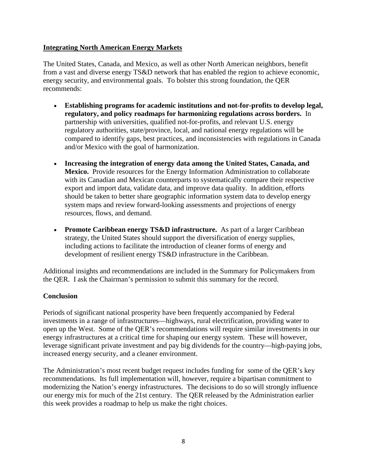#### **Integrating North American Energy Markets**

The United States, Canada, and Mexico, as well as other North American neighbors, benefit from a vast and diverse energy TS&D network that has enabled the region to achieve economic, energy security, and environmental goals. To bolster this strong foundation, the QER recommends:

- **Establishing programs for academic institutions and not-for-profits to develop legal, regulatory, and policy roadmaps for harmonizing regulations across borders.** In partnership with universities, qualified not-for-profits, and relevant U.S. energy regulatory authorities, state/province, local, and national energy regulations will be compared to identify gaps, best practices, and inconsistencies with regulations in Canada and/or Mexico with the goal of harmonization.
- **Increasing the integration of energy data among the United States, Canada, and Mexico.** Provide resources for the Energy Information Administration to collaborate with its Canadian and Mexican counterparts to systematically compare their respective export and import data, validate data, and improve data quality. In addition, efforts should be taken to better share geographic information system data to develop energy system maps and review forward-looking assessments and projections of energy resources, flows, and demand.
- **Promote Caribbean energy TS&D infrastructure.** As part of a larger Caribbean strategy, the United States should support the diversification of energy supplies, including actions to facilitate the introduction of cleaner forms of energy and development of resilient energy TS&D infrastructure in the Caribbean.

Additional insights and recommendations are included in the Summary for Policymakers from the QER. I ask the Chairman's permission to submit this summary for the record.

# **Conclusion**

Periods of significant national prosperity have been frequently accompanied by Federal investments in a range of infrastructures—highways, rural electrification, providing water to open up the West. Some of the QER's recommendations will require similar investments in our energy infrastructures at a critical time for shaping our energy system. These will however, leverage significant private investment and pay big dividends for the country—high-paying jobs, increased energy security, and a cleaner environment.

The Administration's most recent budget request includes funding for some of the QER's key recommendations. Its full implementation will, however, require a bipartisan commitment to modernizing the Nation's energy infrastructures. The decisions to do so will strongly influence our energy mix for much of the 21st century. The QER released by the Administration earlier this week provides a roadmap to help us make the right choices.